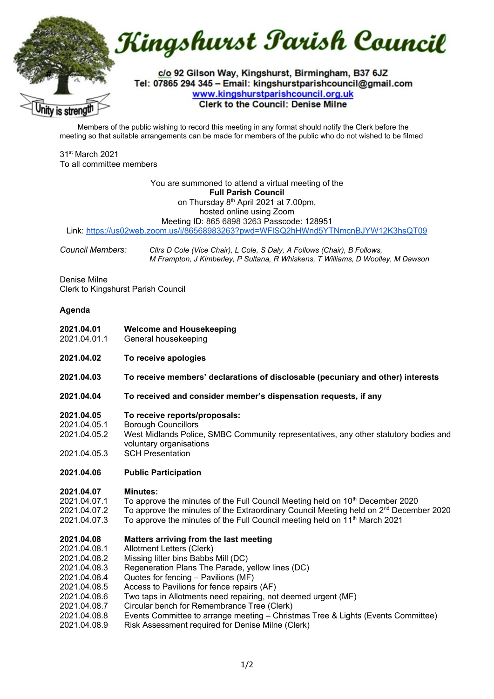Kingshurst Parish Council c/o 92 Gilson Way, Kingshurst, Birmingham, B37 6JZ Tel: 07865 294 345 - Email: kingshurstparishcouncil@gmail.com www.kingshurstparishcouncil.org.uk **Clerk to the Council: Denise Milne** v is stren

Members of the public wishing to record this meeting in any format should notify the Clerk before the meeting so that suitable arrangements can be made for members of the public who do not wished to be filmed

31st March 2021 To all committee members

# You are summoned to attend a virtual meeting of the **Full Parish Council** on Thursday 8<sup>th</sup> April 2021 at 7.00pm. hosted online using Zoom

Meeting ID: 865 6898 3263 Passcode: 128951 Link: <https://us02web.zoom.us/j/86568983263?pwd=WFlSQ2hHWnd5YTNmcnBJYW12K3hsQT09>

*Council Members: Cllrs D Cole (Vice Chair), L Cole, S Daly, A Follows (Chair), B Follows, M Frampton, J Kimberley, P Sultana, R Whiskens, T Williams, D Woolley, M Dawson*

Denise Milne Clerk to Kingshurst Parish Council

## **Agenda**

- **2021.04.01 Welcome and Housekeeping**
- 2021.04.01.1 General housekeeping
- **2021.04.02 To receive apologies**
- **2021.04.03 To receive members' declarations of disclosable (pecuniary and other) interests**
- **2021.04.04 To received and consider member's dispensation requests, if any**
- **2021.04.05 To receive reports/proposals:**
- 2021.04.05.1 Borough Councillors
- 2021.04.05.2 West Midlands Police, SMBC Community representatives, any other statutory bodies and voluntary organisations
- 2021.04.05.3 SCH Presentation

### **2021.04.06 Public Participation**

#### **2021.04.07 Minutes:**

- 2021.04.07.1 To approve the minutes of the Full Council Meeting held on  $10<sup>th</sup>$  December 2020
- 2021.04.07.2 To approve the minutes of the Extraordinary Council Meeting held on  $2<sup>nd</sup>$  December 2020
- 2021.04.07.3 To approve the minutes of the Full Council meeting held on 11<sup>th</sup> March 2021

#### **2021.04.08 Matters arriving from the last meeting**

- 2021.04.08.1 Allotment Letters (Clerk)
- 2021.04.08.2 Missing litter bins Babbs Mill (DC)
- 2021.04.08.3 Regeneration Plans The Parade, yellow lines (DC)
- 2021.04.08.4 Quotes for fencing – Pavilions (MF)
- 2021.04.08.5 Access to Pavilions for fence repairs (AF)
- 2021.04.08.6 Two taps in Allotments need repairing, not deemed urgent (MF)
- 2021.04.08.7 Circular bench for Remembrance Tree (Clerk)
- 2021.04.08.8 Events Committee to arrange meeting – Christmas Tree & Lights (Events Committee)
- 2021.04.08.9 Risk Assessment required for Denise Milne (Clerk)